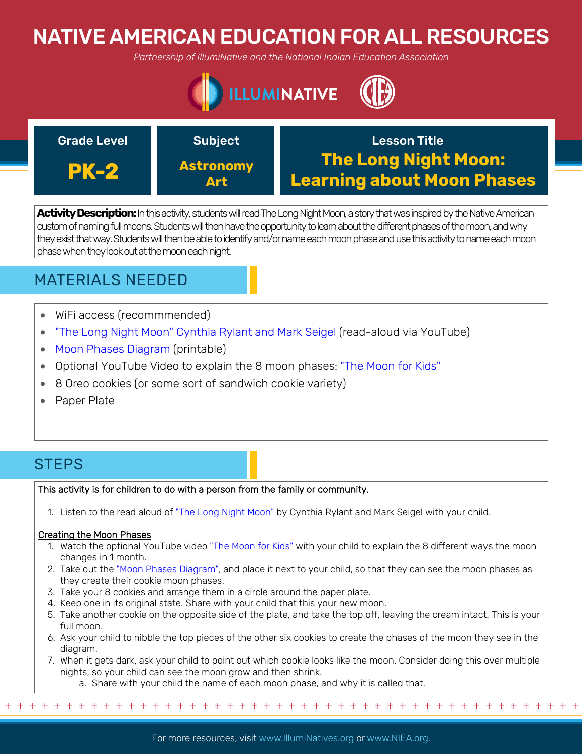# NATIVE AMERICAN EDUCATION FOR ALL RESOURCES

*Partnership of IllumiNative and the National Indian Education Association*





**Activity Description:**In this activity, students will read The Long Night Moon, a story that was inspired by the Native American custom of naming full moons. Students will then have the opportunity to learn about the different phases of the moon, and why they exist that way. Students will then be able to identify and/or name each moon phase and use this activity to name each moon phase when they look out at the moon each night.

## MATERIALS NEEDED

- WiFi access (recommmended)
- ["The Long Night Moon" Cynthia Rylant and Mark Seigel](https://www.youtube.com/watch?v=AAOVk0RKkmQ) (read-aloud via YouTube)
- [Moon Phases Diagram](https://www.sciencekids.co.nz/pictures/space/moonphases.html) (printable)
- Optional YouTube Video to explain the 8 moon phases: ["The Moon for Kids"](https://www.youtube.com/watch?v=XYGvCuiRijI)
- 8 Oreo cookies (or some sort of sandwich cookie variety)
- Paper Plate

## **STEPS**

This activity is for children to do with a person from the family or community.

1. Listen to the read aloud of ["The Long Night Moon"](https://www.youtube.com/watch?v=AAOVk0RKkmQ) by Cynthia Rylant and Mark Seigel with your child.

### Creating the Moon Phases

- 1. Watch the optional YouTube video ["The Moon for Kids"](https://www.youtube.com/watch?v=XYGvCuiRijI) with your child to explain the 8 different ways the moon changes in 1 month.
- 2. Take out the ["Moon Phases Diagram",](https://www.sciencekids.co.nz/pictures/space/moonphases.html) and place it next to your child, so that they can see the moon phases as they create their cookie moon phases.
- 3. Take your 8 cookies and arrange them in a circle around the paper plate.
- 4. Keep one in its original state. Share with your child that this your new moon.
- 5. Take another cookie on the opposite side of the plate, and take the top off, leaving the cream intact. This is your full moon.
- 6. Ask your child to nibble the top pieces of the other six cookies to create the phases of the moon they see in the diagram.
- 7. When it gets dark, ask your child to point out which cookie looks like the moon. Consider doing this over multiple nights, so your child can see the moon grow and then shrink.

+ + + + + + + + + + + + + + + + + + + + + + + + + + + + + + + + + + + + + + + + + + + + + + + +

a. Share with your child the name of each moon phase, and why it is called that.

For more resources, visit www.lllumiNatives.org or www.NIEA.org.